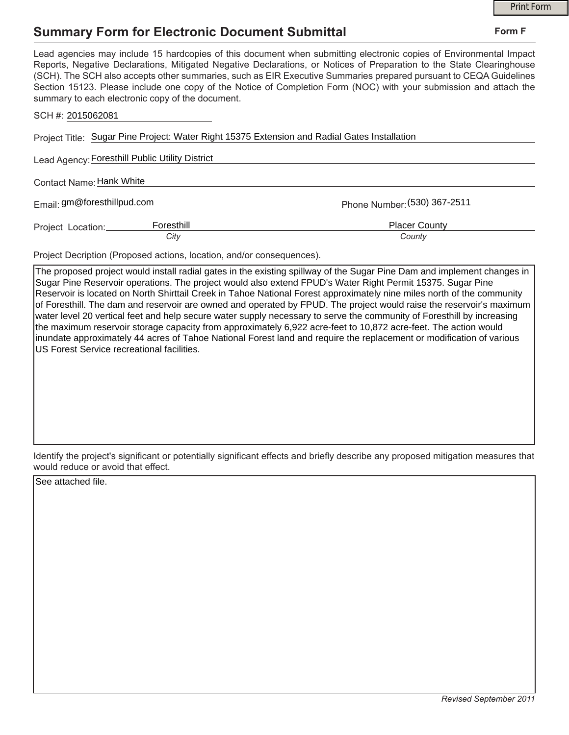## **Summary Form for Electronic Document Submittal**

|                                                                                                                                                                                                                                                                                                                                                                                                                                                                                                                                           |                              | <b>Print Form</b> |
|-------------------------------------------------------------------------------------------------------------------------------------------------------------------------------------------------------------------------------------------------------------------------------------------------------------------------------------------------------------------------------------------------------------------------------------------------------------------------------------------------------------------------------------------|------------------------------|-------------------|
| Summary Form for Electronic Document Submittal                                                                                                                                                                                                                                                                                                                                                                                                                                                                                            |                              | Form F            |
| Lead agencies may include 15 hardcopies of this document when submitting electronic copies of Environmental Impact<br>Reports, Negative Declarations, Mitigated Negative Declarations, or Notices of Preparation to the State Clearinghouse<br>(SCH). The SCH also accepts other summaries, such as EIR Executive Summaries prepared pursuant to CEQA Guidelines<br>Section 15123. Please include one copy of the Notice of Completion Form (NOC) with your submission and attach the<br>summary to each electronic copy of the document. |                              |                   |
| SCH #: 2015062081                                                                                                                                                                                                                                                                                                                                                                                                                                                                                                                         |                              |                   |
| Project Title: Sugar Pine Project: Water Right 15375 Extension and Radial Gates Installation                                                                                                                                                                                                                                                                                                                                                                                                                                              |                              |                   |
| Lead Agency: Foresthill Public Utility District                                                                                                                                                                                                                                                                                                                                                                                                                                                                                           |                              |                   |
| Contact Name: Hank White                                                                                                                                                                                                                                                                                                                                                                                                                                                                                                                  |                              |                   |
| Email: gm@foresthillpud.com                                                                                                                                                                                                                                                                                                                                                                                                                                                                                                               | Phone Number: (530) 367-2511 |                   |
| Foresthill<br>Project Location:                                                                                                                                                                                                                                                                                                                                                                                                                                                                                                           | <b>Placer County</b>         |                   |
| City                                                                                                                                                                                                                                                                                                                                                                                                                                                                                                                                      | County                       |                   |
| Desia et De seletia e (Dese sand national la sation i and la e sana successa)                                                                                                                                                                                                                                                                                                                                                                                                                                                             |                              |                   |

Project Decription (Proposed actions, location, and/or consequences).

The proposed project would install radial gates in the existing spillway of the Sugar Pine Dam and implement changes in Sugar Pine Reservoir operations. The project would also extend FPUD's Water Right Permit 15375. Sugar Pine Reservoir is located on North Shirttail Creek in Tahoe National Forest approximately nine miles north of the community of Foresthill. The dam and reservoir are owned and operated by FPUD. The project would raise the reservoir's maximum water level 20 vertical feet and help secure water supply necessary to serve the community of Foresthill by increasing the maximum reservoir storage capacity from approximately 6,922 acre-feet to 10,872 acre-feet. The action would inundate approximately 44 acres of Tahoe National Forest land and require the replacement or modification of various US Forest Service recreational facilities.

Identify the project's significant or potentially significant effects and briefly describe any proposed mitigation measures that would reduce or avoid that effect.

See attached file.